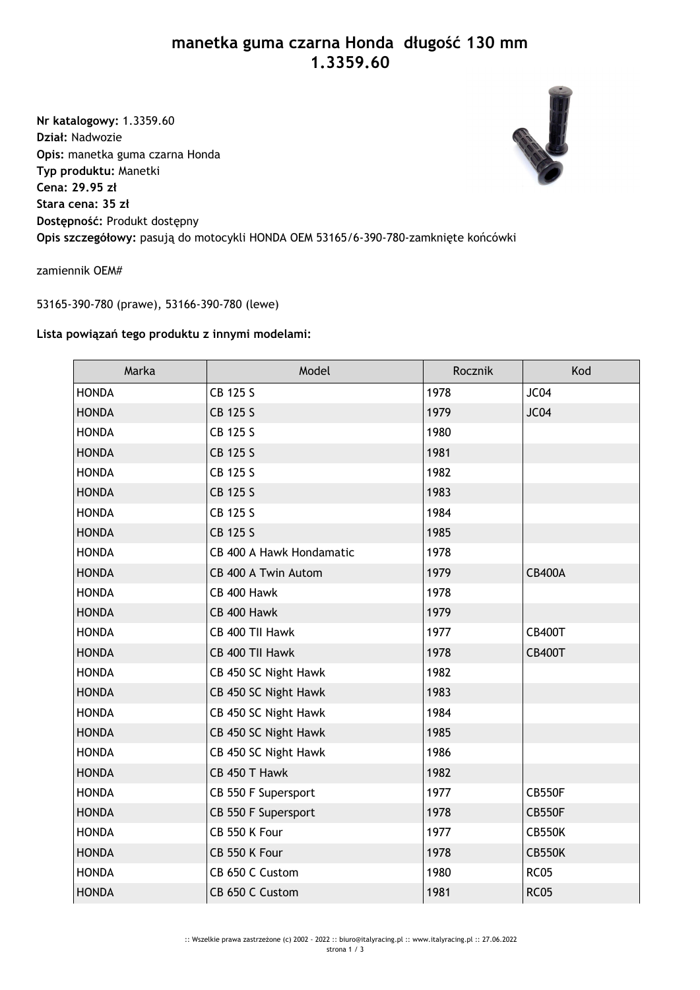## **manetka guma czarna Honda długość 130 mm 1.3359.60**

**Nr katalogowy:** 1.3359.60 **Dział:** Nadwozie **Opis:** manetka guma czarna Honda **Typ produktu:** Manetki **Cena: 29.95 zł Stara cena: 35 zł Dostępność:** Produkt dostępny **Opis szczegółowy:** pasują do motocykli HONDA OEM 53165/6-390-780-zamknięte końcówki



zamiennik OEM#

53165-390-780 (prawe), 53166-390-780 (lewe)

## **Lista powiązań tego produktu z innymi modelami:**

| Marka        | Model                    | Rocznik | Kod           |
|--------------|--------------------------|---------|---------------|
| <b>HONDA</b> | CB 125 S                 | 1978    | JC04          |
| <b>HONDA</b> | CB 125 S                 | 1979    | JC04          |
| <b>HONDA</b> | CB 125 S                 | 1980    |               |
| <b>HONDA</b> | CB 125 S                 | 1981    |               |
| <b>HONDA</b> | CB 125 S                 | 1982    |               |
| <b>HONDA</b> | CB 125 S                 | 1983    |               |
| <b>HONDA</b> | CB 125 S                 | 1984    |               |
| <b>HONDA</b> | CB 125 S                 | 1985    |               |
| <b>HONDA</b> | CB 400 A Hawk Hondamatic | 1978    |               |
| <b>HONDA</b> | CB 400 A Twin Autom      | 1979    | <b>CB400A</b> |
| <b>HONDA</b> | CB 400 Hawk              | 1978    |               |
| <b>HONDA</b> | CB 400 Hawk              | 1979    |               |
| <b>HONDA</b> | CB 400 TII Hawk          | 1977    | <b>CB400T</b> |
| <b>HONDA</b> | CB 400 TII Hawk          | 1978    | <b>CB400T</b> |
| <b>HONDA</b> | CB 450 SC Night Hawk     | 1982    |               |
| <b>HONDA</b> | CB 450 SC Night Hawk     | 1983    |               |
| <b>HONDA</b> | CB 450 SC Night Hawk     | 1984    |               |
| <b>HONDA</b> | CB 450 SC Night Hawk     | 1985    |               |
| <b>HONDA</b> | CB 450 SC Night Hawk     | 1986    |               |
| <b>HONDA</b> | CB 450 T Hawk            | 1982    |               |
| <b>HONDA</b> | CB 550 F Supersport      | 1977    | <b>CB550F</b> |
| <b>HONDA</b> | CB 550 F Supersport      | 1978    | <b>CB550F</b> |
| <b>HONDA</b> | CB 550 K Four            | 1977    | <b>CB550K</b> |
| <b>HONDA</b> | CB 550 K Four            | 1978    | <b>CB550K</b> |
| <b>HONDA</b> | CB 650 C Custom          | 1980    | <b>RC05</b>   |
| <b>HONDA</b> | CB 650 C Custom          | 1981    | <b>RC05</b>   |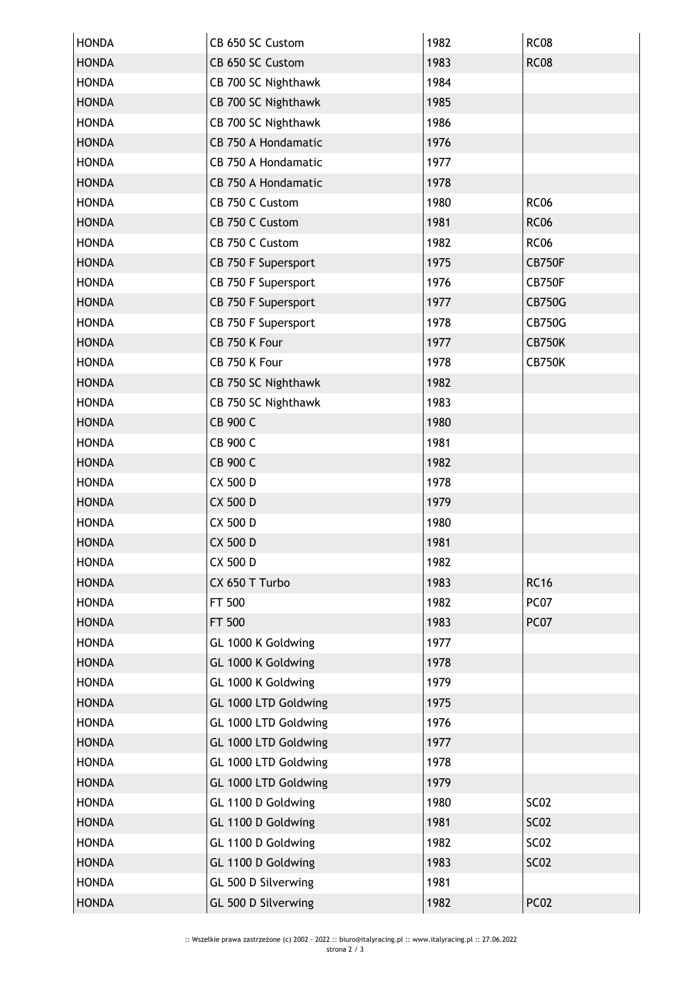| <b>HONDA</b> | CB 650 SC Custom     | 1982 | <b>RC08</b>   |
|--------------|----------------------|------|---------------|
| <b>HONDA</b> | CB 650 SC Custom     | 1983 | <b>RC08</b>   |
| <b>HONDA</b> | CB 700 SC Nighthawk  | 1984 |               |
| <b>HONDA</b> | CB 700 SC Nighthawk  | 1985 |               |
| <b>HONDA</b> | CB 700 SC Nighthawk  | 1986 |               |
| <b>HONDA</b> | CB 750 A Hondamatic  | 1976 |               |
| <b>HONDA</b> | CB 750 A Hondamatic  | 1977 |               |
| <b>HONDA</b> | CB 750 A Hondamatic  | 1978 |               |
| <b>HONDA</b> | CB 750 C Custom      | 1980 | <b>RC06</b>   |
| <b>HONDA</b> | CB 750 C Custom      | 1981 | <b>RC06</b>   |
| <b>HONDA</b> | CB 750 C Custom      | 1982 | <b>RC06</b>   |
| <b>HONDA</b> | CB 750 F Supersport  | 1975 | <b>CB750F</b> |
| <b>HONDA</b> | CB 750 F Supersport  | 1976 | CB750F        |
| <b>HONDA</b> | CB 750 F Supersport  | 1977 | <b>CB750G</b> |
| <b>HONDA</b> | CB 750 F Supersport  | 1978 | <b>CB750G</b> |
| <b>HONDA</b> | CB 750 K Four        | 1977 | <b>CB750K</b> |
| <b>HONDA</b> | CB 750 K Four        | 1978 | <b>CB750K</b> |
| <b>HONDA</b> | CB 750 SC Nighthawk  | 1982 |               |
| <b>HONDA</b> | CB 750 SC Nighthawk  | 1983 |               |
| <b>HONDA</b> | CB 900 C             | 1980 |               |
| <b>HONDA</b> | CB 900 C             | 1981 |               |
| <b>HONDA</b> | CB 900 C             | 1982 |               |
| <b>HONDA</b> | CX 500 D             | 1978 |               |
| <b>HONDA</b> | CX 500 D             | 1979 |               |
| <b>HONDA</b> | CX 500 D             | 1980 |               |
| <b>HONDA</b> | CX 500 D             | 1981 |               |
| <b>HONDA</b> | CX 500 D             | 1982 |               |
| <b>HONDA</b> | CX 650 T Turbo       | 1983 | <b>RC16</b>   |
| <b>HONDA</b> | FT 500               | 1982 | PC07          |
| <b>HONDA</b> | FT 500               | 1983 | PC07          |
| <b>HONDA</b> | GL 1000 K Goldwing   | 1977 |               |
| <b>HONDA</b> | GL 1000 K Goldwing   | 1978 |               |
| <b>HONDA</b> | GL 1000 K Goldwing   | 1979 |               |
| <b>HONDA</b> | GL 1000 LTD Goldwing | 1975 |               |
| <b>HONDA</b> | GL 1000 LTD Goldwing | 1976 |               |
| <b>HONDA</b> | GL 1000 LTD Goldwing | 1977 |               |
| <b>HONDA</b> | GL 1000 LTD Goldwing | 1978 |               |
| <b>HONDA</b> | GL 1000 LTD Goldwing | 1979 |               |
| <b>HONDA</b> | GL 1100 D Goldwing   | 1980 | <b>SC02</b>   |
| <b>HONDA</b> | GL 1100 D Goldwing   | 1981 | <b>SC02</b>   |
| <b>HONDA</b> | GL 1100 D Goldwing   | 1982 | <b>SC02</b>   |
| <b>HONDA</b> | GL 1100 D Goldwing   | 1983 | <b>SC02</b>   |
| <b>HONDA</b> | GL 500 D Silverwing  | 1981 |               |
| <b>HONDA</b> | GL 500 D Silverwing  | 1982 | <b>PC02</b>   |